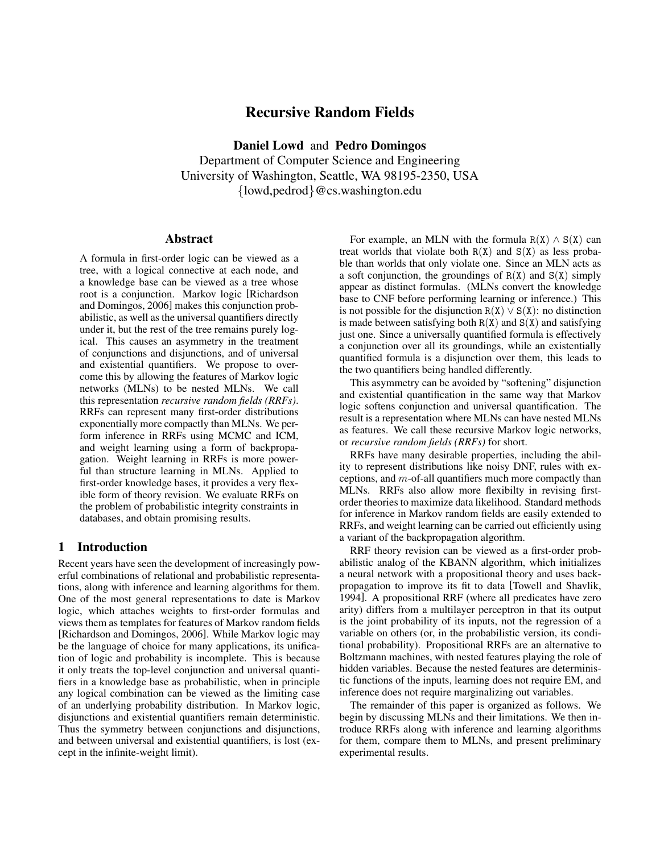# Recursive Random Fields

Daniel Lowd and Pedro Domingos Department of Computer Science and Engineering University of Washington, Seattle, WA 98195-2350, USA {lowd,pedrod}@cs.washington.edu

### Abstract

A formula in first-order logic can be viewed as a tree, with a logical connective at each node, and a knowledge base can be viewed as a tree whose root is a conjunction. Markov logic [Richardson and Domingos, 2006] makes this conjunction probabilistic, as well as the universal quantifiers directly under it, but the rest of the tree remains purely logical. This causes an asymmetry in the treatment of conjunctions and disjunctions, and of universal and existential quantifiers. We propose to overcome this by allowing the features of Markov logic networks (MLNs) to be nested MLNs. We call this representation *recursive random fields (RRFs)*. RRFs can represent many first-order distributions exponentially more compactly than MLNs. We perform inference in RRFs using MCMC and ICM, and weight learning using a form of backpropagation. Weight learning in RRFs is more powerful than structure learning in MLNs. Applied to first-order knowledge bases, it provides a very flexible form of theory revision. We evaluate RRFs on the problem of probabilistic integrity constraints in databases, and obtain promising results.

## 1 Introduction

Recent years have seen the development of increasingly powerful combinations of relational and probabilistic representations, along with inference and learning algorithms for them. One of the most general representations to date is Markov logic, which attaches weights to first-order formulas and views them as templates for features of Markov random fields [Richardson and Domingos, 2006]. While Markov logic may be the language of choice for many applications, its unification of logic and probability is incomplete. This is because it only treats the top-level conjunction and universal quantifiers in a knowledge base as probabilistic, when in principle any logical combination can be viewed as the limiting case of an underlying probability distribution. In Markov logic, disjunctions and existential quantifiers remain deterministic. Thus the symmetry between conjunctions and disjunctions, and between universal and existential quantifiers, is lost (except in the infinite-weight limit).

For example, an MLN with the formula  $R(X) \wedge S(X)$  can treat worlds that violate both  $R(X)$  and  $S(X)$  as less probable than worlds that only violate one. Since an MLN acts as a soft conjunction, the groundings of  $R(X)$  and  $S(X)$  simply appear as distinct formulas. (MLNs convert the knowledge base to CNF before performing learning or inference.) This is not possible for the disjunction  $R(X) \vee S(X)$ : no distinction is made between satisfying both  $R(X)$  and  $S(X)$  and satisfying just one. Since a universally quantified formula is effectively a conjunction over all its groundings, while an existentially quantified formula is a disjunction over them, this leads to the two quantifiers being handled differently.

This asymmetry can be avoided by "softening" disjunction and existential quantification in the same way that Markov logic softens conjunction and universal quantification. The result is a representation where MLNs can have nested MLNs as features. We call these recursive Markov logic networks, or *recursive random fields (RRFs)* for short.

RRFs have many desirable properties, including the ability to represent distributions like noisy DNF, rules with exceptions, and m-of-all quantifiers much more compactly than MLNs. RRFs also allow more flexibilty in revising firstorder theories to maximize data likelihood. Standard methods for inference in Markov random fields are easily extended to RRFs, and weight learning can be carried out efficiently using a variant of the backpropagation algorithm.

RRF theory revision can be viewed as a first-order probabilistic analog of the KBANN algorithm, which initializes a neural network with a propositional theory and uses backpropagation to improve its fit to data [Towell and Shavlik, 1994]. A propositional RRF (where all predicates have zero arity) differs from a multilayer perceptron in that its output is the joint probability of its inputs, not the regression of a variable on others (or, in the probabilistic version, its conditional probability). Propositional RRFs are an alternative to Boltzmann machines, with nested features playing the role of hidden variables. Because the nested features are deterministic functions of the inputs, learning does not require EM, and inference does not require marginalizing out variables.

The remainder of this paper is organized as follows. We begin by discussing MLNs and their limitations. We then introduce RRFs along with inference and learning algorithms for them, compare them to MLNs, and present preliminary experimental results.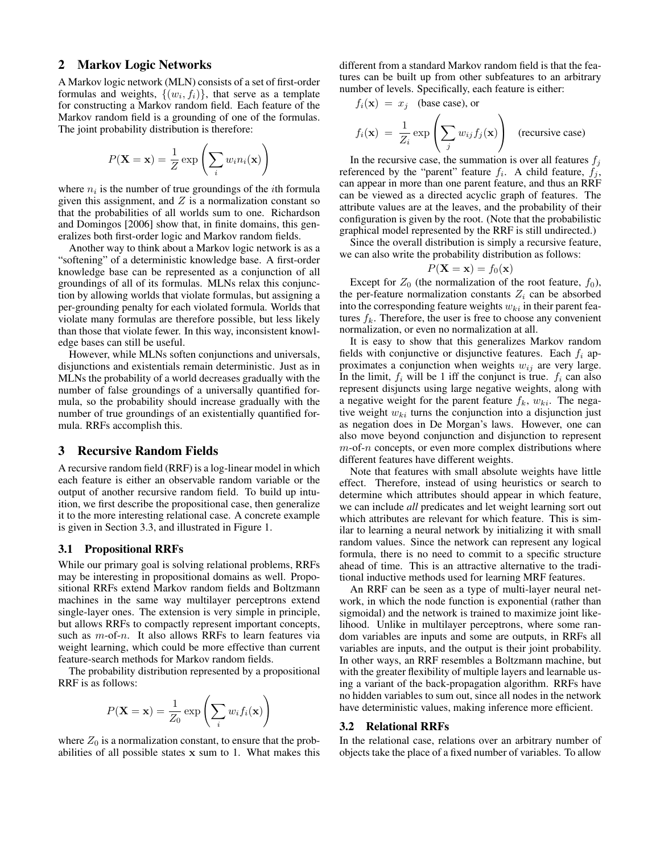#### 2 Markov Logic Networks

A Markov logic network (MLN) consists of a set of first-order formulas and weights,  $\{(w_i, f_i)\}\$ , that serve as a template for constructing a Markov random field. Each feature of the Markov random field is a grounding of one of the formulas. The joint probability distribution is therefore:

$$
P(\mathbf{X} = \mathbf{x}) = \frac{1}{Z} \exp\left(\sum_{i} w_i n_i(\mathbf{x})\right)
$$

where  $n_i$  is the number of true groundings of the *i*th formula given this assignment, and  $Z$  is a normalization constant so that the probabilities of all worlds sum to one. Richardson and Domingos [2006] show that, in finite domains, this generalizes both first-order logic and Markov random fields.

Another way to think about a Markov logic network is as a "softening" of a deterministic knowledge base. A first-order knowledge base can be represented as a conjunction of all groundings of all of its formulas. MLNs relax this conjunction by allowing worlds that violate formulas, but assigning a per-grounding penalty for each violated formula. Worlds that violate many formulas are therefore possible, but less likely than those that violate fewer. In this way, inconsistent knowledge bases can still be useful.

However, while MLNs soften conjunctions and universals, disjunctions and existentials remain deterministic. Just as in MLNs the probability of a world decreases gradually with the number of false groundings of a universally quantified formula, so the probability should increase gradually with the number of true groundings of an existentially quantified formula. RRFs accomplish this.

## 3 Recursive Random Fields

A recursive random field (RRF) is a log-linear model in which each feature is either an observable random variable or the output of another recursive random field. To build up intuition, we first describe the propositional case, then generalize it to the more interesting relational case. A concrete example is given in Section 3.3, and illustrated in Figure 1.

#### 3.1 Propositional RRFs

While our primary goal is solving relational problems, RRFs may be interesting in propositional domains as well. Propositional RRFs extend Markov random fields and Boltzmann machines in the same way multilayer perceptrons extend single-layer ones. The extension is very simple in principle, but allows RRFs to compactly represent important concepts, such as  $m$ -of-n. It also allows RRFs to learn features via weight learning, which could be more effective than current feature-search methods for Markov random fields.

The probability distribution represented by a propositional RRF is as follows:

$$
P(\mathbf{X} = \mathbf{x}) = \frac{1}{Z_0} \exp\left(\sum_i w_i f_i(\mathbf{x})\right)
$$

where  $Z_0$  is a normalization constant, to ensure that the probabilities of all possible states x sum to 1. What makes this different from a standard Markov random field is that the features can be built up from other subfeatures to an arbitrary number of levels. Specifically, each feature is either:

$$
f_i(\mathbf{x}) = x_j \text{ (base case), or}
$$

$$
f_i(\mathbf{x}) = \frac{1}{Z_i} \exp\left(\sum_j w_{ij} f_j(\mathbf{x})\right) \text{ (recursive case)}
$$

In the recursive case, the summation is over all features  $f_i$ referenced by the "parent" feature  $f_i$ . A child feature,  $f_j$ , can appear in more than one parent feature, and thus an RRF can be viewed as a directed acyclic graph of features. The attribute values are at the leaves, and the probability of their configuration is given by the root. (Note that the probabilistic graphical model represented by the RRF is still undirected.)

Since the overall distribution is simply a recursive feature, we can also write the probability distribution as follows:

$$
P(\mathbf{X} = \mathbf{x}) = f_0(\mathbf{x})
$$

Except for  $Z_0$  (the normalization of the root feature,  $f_0$ ), the per-feature normalization constants  $Z_i$  can be absorbed into the corresponding feature weights  $w_{ki}$  in their parent features  $f_k$ . Therefore, the user is free to choose any convenient normalization, or even no normalization at all.

It is easy to show that this generalizes Markov random fields with conjunctive or disjunctive features. Each  $f_i$  approximates a conjunction when weights  $w_{ij}$  are very large. In the limit,  $f_i$  will be 1 iff the conjunct is true.  $f_i$  can also represent disjuncts using large negative weights, along with a negative weight for the parent feature  $f_k$ ,  $w_{ki}$ . The negative weight  $w_{ki}$  turns the conjunction into a disjunction just as negation does in De Morgan's laws. However, one can also move beyond conjunction and disjunction to represent  $m$ -of- $n$  concepts, or even more complex distributions where different features have different weights.

Note that features with small absolute weights have little effect. Therefore, instead of using heuristics or search to determine which attributes should appear in which feature, we can include *all* predicates and let weight learning sort out which attributes are relevant for which feature. This is similar to learning a neural network by initializing it with small random values. Since the network can represent any logical formula, there is no need to commit to a specific structure ahead of time. This is an attractive alternative to the traditional inductive methods used for learning MRF features.

An RRF can be seen as a type of multi-layer neural network, in which the node function is exponential (rather than sigmoidal) and the network is trained to maximize joint likelihood. Unlike in multilayer perceptrons, where some random variables are inputs and some are outputs, in RRFs all variables are inputs, and the output is their joint probability. In other ways, an RRF resembles a Boltzmann machine, but with the greater flexibility of multiple layers and learnable using a variant of the back-propagation algorithm. RRFs have no hidden variables to sum out, since all nodes in the network have deterministic values, making inference more efficient.

#### 3.2 Relational RRFs

In the relational case, relations over an arbitrary number of objects take the place of a fixed number of variables. To allow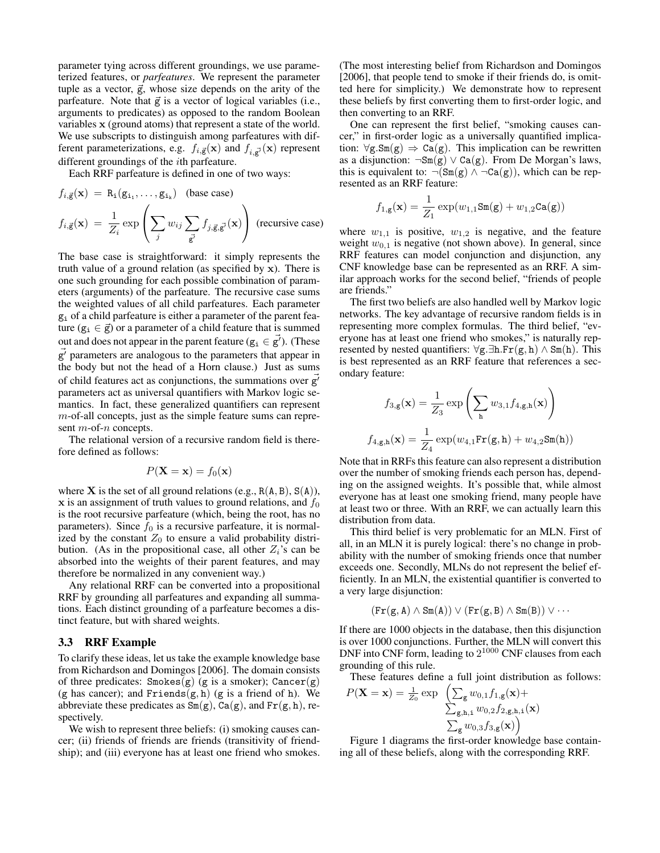parameter tying across different groundings, we use parameterized features, or *parfeatures*. We represent the parameter tuple as a vector,  $\vec{g}$ , whose size depends on the arity of the parfeature. Note that  $\vec{g}$  is a vector of logical variables (i.e., arguments to predicates) as opposed to the random Boolean variables x (ground atoms) that represent a state of the world. We use subscripts to distinguish among parfeatures with different parameterizations, e.g.  $f_{i,\vec{g}}(\mathbf{x})$  and  $f_{i,\vec{g}'}(\mathbf{x})$  represent different groundings of the ith parfeature.

Each RRF parfeature is defined in one of two ways:

$$
f_{i,\vec{\mathbf{g}}}(\mathbf{x}) = \mathbf{R}_{i}(\mathbf{g}_{i_1}, \dots, \mathbf{g}_{i_k}) \text{ (base case)}
$$
  

$$
f_{i,\vec{\mathbf{g}}}(\mathbf{x}) = \frac{1}{Z_i} \exp\left(\sum_j w_{ij} \sum_{\vec{\mathbf{g}}'} f_{j,\vec{\mathbf{g}},\vec{\mathbf{g}}}(\mathbf{x})\right) \text{ (recursive case)}
$$

The base case is straightforward: it simply represents the truth value of a ground relation (as specified by x). There is one such grounding for each possible combination of parameters (arguments) of the parfeature. The recursive case sums the weighted values of all child parfeatures. Each parameter g<sup>i</sup> of a child parfeature is either a parameter of the parent feature ( $g_i \in \vec{g}$ ) or a parameter of a child feature that is summed out and does not appear in the parent feature ( $g_i \in \vec{g'}$ ). (These  $\vec{g'}$  parameters are analogous to the parameters that appear in the body but not the head of a Horn clause.) Just as sums of child features act as conjunctions, the summations over  $g<sup>7</sup>$ parameters act as universal quantifiers with Markov logic semantics. In fact, these generalized quantifiers can represent  $m$ -of-all concepts, just as the simple feature sums can represent *m*-of-*n* concepts.

The relational version of a recursive random field is therefore defined as follows:

$$
P(\mathbf{X} = \mathbf{x}) = f_0(\mathbf{x})
$$

where **X** is the set of all ground relations (e.g.,  $R(A, B)$ ,  $S(A)$ ), x is an assignment of truth values to ground relations, and  $f_0$ is the root recursive parfeature (which, being the root, has no parameters). Since  $f_0$  is a recursive parfeature, it is normalized by the constant  $Z_0$  to ensure a valid probability distribution. (As in the propositional case, all other  $Z_i$ 's can be absorbed into the weights of their parent features, and may therefore be normalized in any convenient way.)

Any relational RRF can be converted into a propositional RRF by grounding all parfeatures and expanding all summations. Each distinct grounding of a parfeature becomes a distinct feature, but with shared weights.

### 3.3 RRF Example

To clarify these ideas, let us take the example knowledge base from Richardson and Domingos [2006]. The domain consists of three predicates:  $Smokes(g)$  (g is a smoker);  $Cancer(g)$ (g has cancer); and  $Friends(g, h)$  (g is a friend of h). We abbreviate these predicates as  $Sm(g)$ ,  $Ca(g)$ , and  $Fr(g, h)$ , respectively.

We wish to represent three beliefs: (i) smoking causes cancer; (ii) friends of friends are friends (transitivity of friendship); and (iii) everyone has at least one friend who smokes. (The most interesting belief from Richardson and Domingos [2006], that people tend to smoke if their friends do, is omitted here for simplicity.) We demonstrate how to represent these beliefs by first converting them to first-order logic, and then converting to an RRF.

One can represent the first belief, "smoking causes cancer," in first-order logic as a universally quantified implication:  $\forall g.Sm(g) \Rightarrow Ca(g)$ . This implication can be rewritten as a disjunction:  $\neg Sm(g) ∨ Ca(g)$ . From De Morgan's laws, this is equivalent to:  $\neg(\text{Sm}(g) \land \neg \text{Ca}(g))$ , which can be represented as an RRF feature:

$$
f_{1,\mathbf{g}}(\mathbf{x}) = \frac{1}{Z_1} \exp(w_{1,1} \mathrm{Sm}(\mathbf{g}) + w_{1,2} \mathrm{Ca}(\mathbf{g}))
$$

where  $w_{1,1}$  is positive,  $w_{1,2}$  is negative, and the feature weight  $w_{0,1}$  is negative (not shown above). In general, since RRF features can model conjunction and disjunction, any CNF knowledge base can be represented as an RRF. A similar approach works for the second belief, "friends of people are friends."

The first two beliefs are also handled well by Markov logic networks. The key advantage of recursive random fields is in representing more complex formulas. The third belief, "everyone has at least one friend who smokes," is naturally represented by nested quantifiers:  $\forall g. \exists h. Fr(g, h) \land Sm(h).$  This is best represented as an RRF feature that references a secondary feature:

$$
f_{3,g}(\mathbf{x}) = \frac{1}{Z_3} \exp\left(\sum_{\mathbf{h}} w_{3,1} f_{4,g,\mathbf{h}}(\mathbf{x})\right)
$$

$$
f_{4,g,\mathbf{h}}(\mathbf{x}) = \frac{1}{Z_4} \exp(w_{4,1} \mathbf{Fr}(\mathbf{g}, \mathbf{h}) + w_{4,2} \mathbf{Sm}(\mathbf{h}))
$$

Note that in RRFs this feature can also represent a distribution over the number of smoking friends each person has, depending on the assigned weights. It's possible that, while almost everyone has at least one smoking friend, many people have at least two or three. With an RRF, we can actually learn this distribution from data.

This third belief is very problematic for an MLN. First of all, in an MLN it is purely logical: there's no change in probability with the number of smoking friends once that number exceeds one. Secondly, MLNs do not represent the belief efficiently. In an MLN, the existential quantifier is converted to a very large disjunction:

$$
(Fr(g,A) \wedge Sm(A)) \vee (Fr(g,B) \wedge Sm(B)) \vee \cdots
$$

If there are 1000 objects in the database, then this disjunction is over 1000 conjunctions. Further, the MLN will convert this DNF into CNF form, leading to  $2^{1000}$  CNF clauses from each grounding of this rule.

These features define a full joint distribution as follows:

$$
P(\mathbf{X} = \mathbf{x}) = \frac{1}{Z_0} \exp \left( \sum_{\mathbf{g}} w_{0,1} f_{1,\mathbf{g}}(\mathbf{x}) + \sum_{\substack{\mathbf{g}, \mathbf{h}, \mathbf{i} \\ \mathbf{g} \neq 0, 3}} w_{0,2} f_{2,\mathbf{g},\mathbf{h},\mathbf{i}}(\mathbf{x}) \right)
$$

Figure 1 diagrams the first-order knowledge base containing all of these beliefs, along with the corresponding RRF.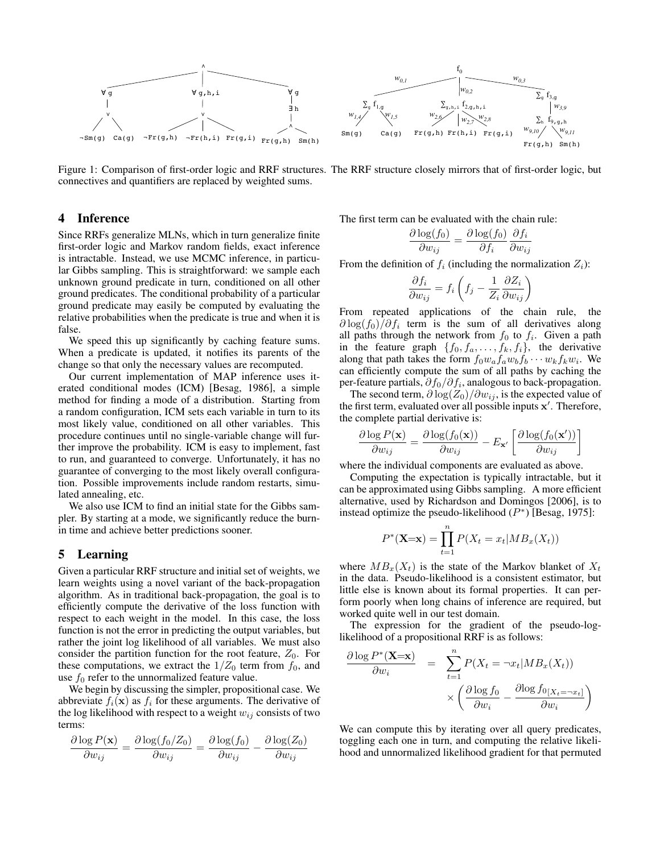

Figure 1: Comparison of first-order logic and RRF structures. The RRF structure closely mirrors that of first-order logic, but connectives and quantifiers are replaced by weighted sums.

## 4 Inference

first-order logic and Markov random fields, exact inference lar Gibbs sampling. This is straightforward: we sample each is intractable. Instead, we use MCMC inference, in particu-Since RRFs generalize MLNs, which in turn generalize finite unknown ground predicate in turn, conditioned on all other ground predicates. The conditional probability of a particular ground predicate may easily be computed by evaluating the relative probabilities when the predicate is true and when it is false.

We speed this up significantly by caching feature sums. When a predicate is updated, it notifies its parents of the change so that only the necessary values are recomputed.

Our current implementation of MAP inference uses iterated conditional modes (ICM) [Besag, 1986], a simple method for finding a mode of a distribution. Starting from a random configuration, ICM sets each variable in turn to its most likely value, conditioned on all other variables. This procedure continues until no single-variable change will further improve the probability. ICM is easy to implement, fast to run, and guaranteed to converge. Unfortunately, it has no guarantee of converging to the most likely overall configuration. Possible improvements include random restarts, simulated annealing, etc.

We also use ICM to find an initial state for the Gibbs sampler. By starting at a mode, we significantly reduce the burnin time and achieve better predictions sooner.

#### 5 Learning

Given a particular RRF structure and initial set of weights, we learn weights using a novel variant of the back-propagation algorithm. As in traditional back-propagation, the goal is to efficiently compute the derivative of the loss function with respect to each weight in the model. In this case, the loss function is not the error in predicting the output variables, but rather the joint log likelihood of all variables. We must also consider the partition function for the root feature,  $Z_0$ . For these computations, we extract the  $1/Z_0$  term from  $f_0$ , and use  $f_0$  refer to the unnormalized feature value.

We begin by discussing the simpler, propositional case. We abbreviate  $f_i(\mathbf{x})$  as  $f_i$  for these arguments. The derivative of the log likelihood with respect to a weight  $w_{ij}$  consists of two terms:

$$
\frac{\partial \log P(\mathbf{x})}{\partial w_{ij}} = \frac{\partial \log (f_0/Z_0)}{\partial w_{ij}} = \frac{\partial \log (f_0)}{\partial w_{ij}} - \frac{\partial \log (Z_0)}{\partial w_{ij}}
$$

The first term can be evaluated with the chain rule:

$$
\frac{\partial \log(f_0)}{\partial w_{ij}} = \frac{\partial \log(f_0)}{\partial f_i} \frac{\partial f_i}{\partial w_{ij}}
$$

From the definition of  $f_i$  (including the normalization  $Z_i$ ):

$$
\frac{\partial f_i}{\partial w_{ij}} = f_i \left( f_j - \frac{1}{Z_i} \frac{\partial Z_i}{\partial w_{ij}} \right)
$$

From repeated applications of the chain rule, the  $\partial \log(f_0)/\partial f_i$  term is the sum of all derivatives along all paths through the network from  $f_0$  to  $f_i$ . Given a path in the feature graph  $\{f_0, f_a, \ldots, f_k, f_i\}$ , the derivative along that path takes the form  $f_0w_a f_a w_b f_b \cdots w_k f_k w_i$ . We can efficiently compute the sum of all paths by caching the per-feature partials,  $\partial f_0/\partial f_i$ , analogous to back-propagation.

The second term,  $\partial \log(Z_0)/\partial w_{ij}$ , is the expected value of the first term, evaluated over all possible inputs x'. Therefore, the complete partial derivative is:

$$
\frac{\partial \log P(\mathbf{x})}{\partial w_{ij}} = \frac{\partial \log(f_0(\mathbf{x}))}{\partial w_{ij}} - E_{\mathbf{x}'} \left[ \frac{\partial \log(f_0(\mathbf{x}'))}{\partial w_{ij}} \right]
$$

where the individual components are evaluated as above.

Computing the expectation is typically intractable, but it can be approximated using Gibbs sampling. A more efficient alternative, used by Richardson and Domingos [2006], is to instead optimize the pseudo-likelihood  $(P^*)$  [Besag, 1975]:

$$
P^*(\mathbf{X}=\mathbf{x}) = \prod_{t=1}^n P(X_t = x_t | MB_x(X_t))
$$

where  $MB_x(X_t)$  is the state of the Markov blanket of  $X_t$ in the data. Pseudo-likelihood is a consistent estimator, but little else is known about its formal properties. It can perform poorly when long chains of inference are required, but worked quite well in our test domain.

The expression for the gradient of the pseudo-loglikelihood of a propositional RRF is as follows:

$$
\frac{\partial \log P^*(\mathbf{X}=\mathbf{x})}{\partial w_i} = \sum_{t=1}^n P(X_t = \neg x_t | MB_x(X_t))
$$

$$
\times \left(\frac{\partial \log f_0}{\partial w_i} - \frac{\partial \log f_{0|X_t = \neg x_t|}}{\partial w_i}\right)
$$

We can compute this by iterating over all query predicates, toggling each one in turn, and computing the relative likelihood and unnormalized likelihood gradient for that permuted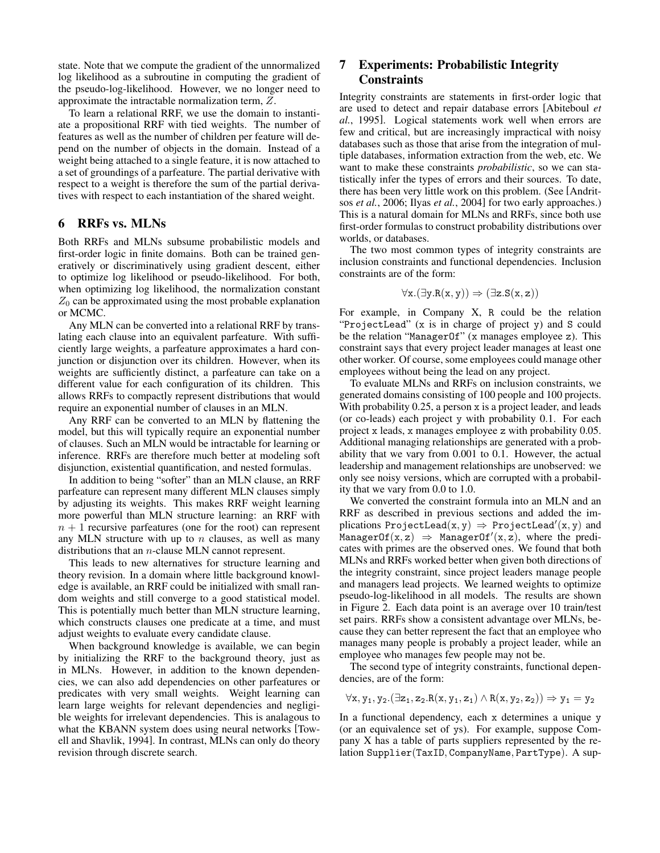state. Note that we compute the gradient of the unnormalized log likelihood as a subroutine in computing the gradient of the pseudo-log-likelihood. However, we no longer need to approximate the intractable normalization term, Z.

To learn a relational RRF, we use the domain to instantiate a propositional RRF with tied weights. The number of features as well as the number of children per feature will depend on the number of objects in the domain. Instead of a weight being attached to a single feature, it is now attached to a set of groundings of a parfeature. The partial derivative with respect to a weight is therefore the sum of the partial derivatives with respect to each instantiation of the shared weight.

## 6 RRFs vs. MLNs

Both RRFs and MLNs subsume probabilistic models and first-order logic in finite domains. Both can be trained generatively or discriminatively using gradient descent, either to optimize log likelihood or pseudo-likelihood. For both, when optimizing log likelihood, the normalization constant  $Z_0$  can be approximated using the most probable explanation or MCMC.

Any MLN can be converted into a relational RRF by translating each clause into an equivalent parfeature. With sufficiently large weights, a parfeature approximates a hard conjunction or disjunction over its children. However, when its weights are sufficiently distinct, a parfeature can take on a different value for each configuration of its children. This allows RRFs to compactly represent distributions that would require an exponential number of clauses in an MLN.

Any RRF can be converted to an MLN by flattening the model, but this will typically require an exponential number of clauses. Such an MLN would be intractable for learning or inference. RRFs are therefore much better at modeling soft disjunction, existential quantification, and nested formulas.

In addition to being "softer" than an MLN clause, an RRF parfeature can represent many different MLN clauses simply by adjusting its weights. This makes RRF weight learning more powerful than MLN structure learning: an RRF with  $n + 1$  recursive parfeatures (one for the root) can represent any MLN structure with up to  $n$  clauses, as well as many distributions that an n-clause MLN cannot represent.

This leads to new alternatives for structure learning and theory revision. In a domain where little background knowledge is available, an RRF could be initialized with small random weights and still converge to a good statistical model. This is potentially much better than MLN structure learning, which constructs clauses one predicate at a time, and must adjust weights to evaluate every candidate clause.

When background knowledge is available, we can begin by initializing the RRF to the background theory, just as in MLNs. However, in addition to the known dependencies, we can also add dependencies on other parfeatures or predicates with very small weights. Weight learning can learn large weights for relevant dependencies and negligible weights for irrelevant dependencies. This is analagous to what the KBANN system does using neural networks [Towell and Shavlik, 1994]. In contrast, MLNs can only do theory revision through discrete search.

## 7 Experiments: Probabilistic Integrity **Constraints**

Integrity constraints are statements in first-order logic that are used to detect and repair database errors [Abiteboul *et al.*, 1995]. Logical statements work well when errors are few and critical, but are increasingly impractical with noisy databases such as those that arise from the integration of multiple databases, information extraction from the web, etc. We want to make these constraints *probabilistic*, so we can statistically infer the types of errors and their sources. To date, there has been very little work on this problem. (See [Andritsos *et al.*, 2006; Ilyas *et al.*, 2004] for two early approaches.) This is a natural domain for MLNs and RRFs, since both use first-order formulas to construct probability distributions over worlds, or databases.

The two most common types of integrity constraints are inclusion constraints and functional dependencies. Inclusion constraints are of the form:

$$
\forall x.(\exists y. R(x,y)) \Rightarrow (\exists z. S(x,z))
$$

For example, in Company X, R could be the relation "ProjectLead" (x is in charge of project y) and S could be the relation "ManagerOf" (x manages employee z). This constraint says that every project leader manages at least one other worker. Of course, some employees could manage other employees without being the lead on any project.

To evaluate MLNs and RRFs on inclusion constraints, we generated domains consisting of 100 people and 100 projects. With probability 0.25, a person x is a project leader, and leads (or co-leads) each project y with probability 0.1. For each project x leads, x manages employee z with probability 0.05. Additional managing relationships are generated with a probability that we vary from 0.001 to 0.1. However, the actual leadership and management relationships are unobserved: we only see noisy versions, which are corrupted with a probability that we vary from 0.0 to 1.0.

We converted the constraint formula into an MLN and an RRF as described in previous sections and added the implications  $\texttt{ProjectLeaf}(x,y) \, \Rightarrow \, \texttt{ProjectLeaf}'(x,y)$  and  $M$ AanagerOf(x,z)  $\Rightarrow$  ManagerOf'(x,z), where the predicates with primes are the observed ones. We found that both MLNs and RRFs worked better when given both directions of the integrity constraint, since project leaders manage people and managers lead projects. We learned weights to optimize pseudo-log-likelihood in all models. The results are shown in Figure 2. Each data point is an average over 10 train/test set pairs. RRFs show a consistent advantage over MLNs, because they can better represent the fact that an employee who manages many people is probably a project leader, while an employee who manages few people may not be.

The second type of integrity constraints, functional dependencies, are of the form:

$$
\forall x,y_1,y_2.(\exists z_1,z_2.R(x,y_1,z_1)\land R(x,y_2,z_2))\Rightarrow y_1=y_2
$$

In a functional dependency, each x determines a unique y (or an equivalence set of ys). For example, suppose Company X has a table of parts suppliers represented by the relation Supplier(TaxID, CompanyName, PartType). A sup-